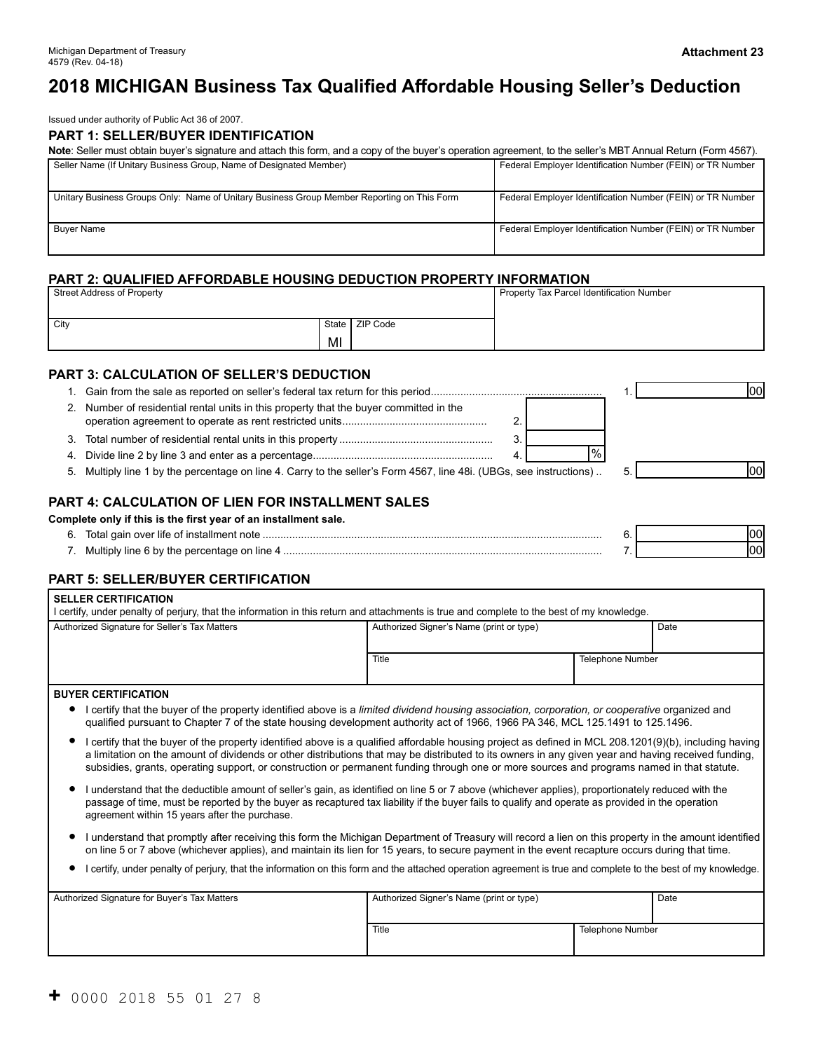# **2018 MICHIGAN Business Tax Qualified Affordable Housing Seller's Deduction**

Issued under authority of Public Act 36 of 2007.

#### **PART 1: SELLER/BUYER IDENTIFICATION**

| Note: Seller must obtain buyer's signature and attach this form, and a copy of the buyer's operation agreement, to the seller's MBT Annual Return (Form 4567). |                                                            |  |  |  |
|----------------------------------------------------------------------------------------------------------------------------------------------------------------|------------------------------------------------------------|--|--|--|
| Seller Name (If Unitary Business Group, Name of Designated Member)                                                                                             | Federal Employer Identification Number (FEIN) or TR Number |  |  |  |
|                                                                                                                                                                |                                                            |  |  |  |
| Unitary Business Groups Only: Name of Unitary Business Group Member Reporting on This Form                                                                     | Federal Employer Identification Number (FEIN) or TR Number |  |  |  |
| <b>Buver Name</b>                                                                                                                                              | Federal Employer Identification Number (FEIN) or TR Number |  |  |  |

### **PART 2: QUALIFIED AFFORDABLE HOUSING DEDUCTION PROPERTY INFORMATION**

| <b>Street Address of Property</b> | Property Tax Parcel Identification Number |                  |  |
|-----------------------------------|-------------------------------------------|------------------|--|
| City                              |                                           | State   ZIP Code |  |
|                                   | MI                                        |                  |  |

# **PART 3: CALCULATION OF SELLER'S DEDUCTION**

|    |                                                                                                                     | lool |
|----|---------------------------------------------------------------------------------------------------------------------|------|
| 2. | Number of residential rental units in this property that the buyer committed in the                                 |      |
| 3. |                                                                                                                     |      |
| 4. | д                                                                                                                   |      |
|    | 5. Multiply line 1 by the percentage on line 4. Carry to the seller's Form 4567, line 48i. (UBGs, see instructions) | lool |
|    |                                                                                                                     |      |

# **PART 4: CALCULATION OF LIEN FOR INSTALLMENT SALES**

#### **Complete only if this is the first year of an installment sale.**

| Q<br>J. |                      |  |  |
|---------|----------------------|--|--|
|         | 84 H<br>≅iine<br>. . |  |  |

#### **PART 5: SELLER/BUYER CERTIFICATION**

| <b>SELLER CERTIFICATION</b><br>l certify, under penalty of perjury, that the information in this return and attachments is true and complete to the best of my knowledge.                                                                                                                                                                                                                                                                                   |                                          |                         |  |
|-------------------------------------------------------------------------------------------------------------------------------------------------------------------------------------------------------------------------------------------------------------------------------------------------------------------------------------------------------------------------------------------------------------------------------------------------------------|------------------------------------------|-------------------------|--|
| Authorized Signature for Seller's Tax Matters                                                                                                                                                                                                                                                                                                                                                                                                               | Authorized Signer's Name (print or type) | Date                    |  |
|                                                                                                                                                                                                                                                                                                                                                                                                                                                             | Title                                    | <b>Telephone Number</b> |  |
| <b>BUYER CERTIFICATION</b>                                                                                                                                                                                                                                                                                                                                                                                                                                  |                                          |                         |  |
| I certify that the buyer of the property identified above is a limited dividend housing association, corporation, or cooperative organized and<br>qualified pursuant to Chapter 7 of the state housing development authority act of 1966, 1966 PA 346, MCL 125.1491 to 125.1496.                                                                                                                                                                            |                                          |                         |  |
| I certify that the buyer of the property identified above is a qualified affordable housing project as defined in MCL 208.1201(9)(b), including having<br>a limitation on the amount of dividends or other distributions that may be distributed to its owners in any given year and having received funding,<br>subsidies, grants, operating support, or construction or permanent funding through one or more sources and programs named in that statute. |                                          |                         |  |
| I understand that the deductible amount of seller's gain, as identified on line 5 or 7 above (whichever applies), proportionately reduced with the<br>passage of time, must be reported by the buyer as recaptured tax liability if the buyer fails to qualify and operate as provided in the operation<br>agreement within 15 years after the purchase.                                                                                                    |                                          |                         |  |
| I understand that promptly after receiving this form the Michigan Department of Treasury will record a lien on this property in the amount identified<br>on line 5 or 7 above (whichever applies), and maintain its lien for 15 years, to secure payment in the event recapture occurs during that time.                                                                                                                                                    |                                          |                         |  |

#### I certify, under penalty of perjury, that the information on this form and the attached operation agreement is true and complete to the best of my knowledge.

| Authorized Signature for Buyer's Tax Matters | Authorized Signer's Name (print or type) | Date             |  |
|----------------------------------------------|------------------------------------------|------------------|--|
|                                              | Title                                    | Telephone Number |  |